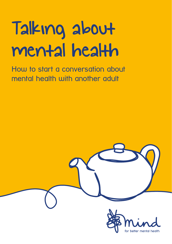## Talking about mental health

How to start a conversation about mental health with another adult

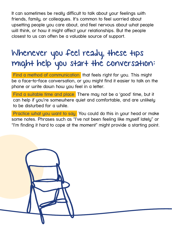It can sometimes be really difficult to talk about your feelings with friends, family, or colleagues. It's common to feel worried about upsetting people you care about, and feel nervous about what people will think, or how it might affect your relationships. But the people closest to us can often be a valuable source of support.

## Whenever you feel ready, these tips might help you start the conversation:

**Find a method of communication** that feels right for you. This might be a face-to-face conversation, or you might find it easier to talk on the phone or write down how you feel in a letter.

Find a suitable time and place There may not be a 'good' time, but it can help if you're somewhere quiet and comfortable, and are unlikely to be disturbed for a while.

Practice what you want to say You could do this in your head or make some notes. Phrases such as "I've not been feeling like myself lately" or "I'm finding it hard to cope at the moment" might provide a starting point.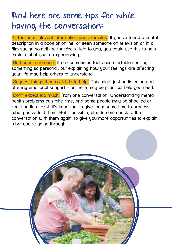## And here are some tips for while having the conversation:

 Offer them relevant information and examples If you've found a useful description in a book or online, or seen someone on television or in a film saying something that feels right to you, you could use this to help explain what you're experiencing.

Be honest and open It can sometimes feel uncomfortable sharing something so personal, but explaining how your feelings are affecting your life may help others to understand.

 Suggest things they could do to help This might just be listening and offering emotional support – or there may be practical help you need.

 Don't expect too much from one conversation. Understanding mental health problems can take time, and some people may be shocked or react badly at first. It's important to give them some time to process what you've told them. But if possible, plan to come back to the conversation with them again, to give you more opportunities to explain what you're going through.